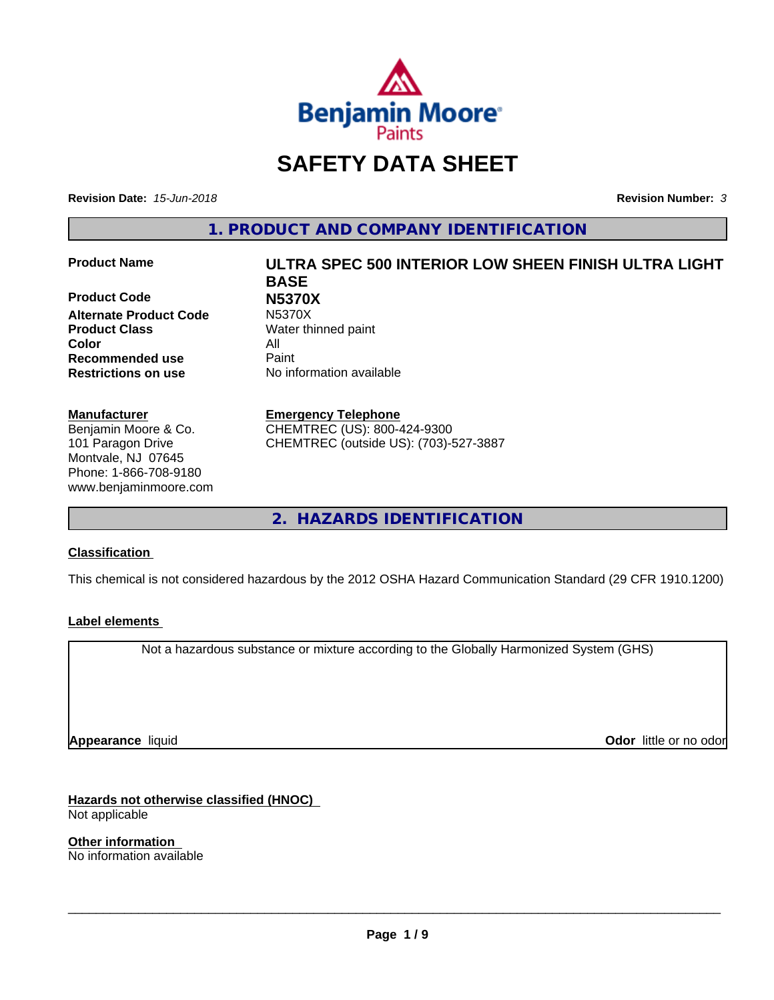

## **SAFETY DATA SHEET**

**Revision Date:** *15-Jun-2018* **Revision Number:** *3*

**1. PRODUCT AND COMPANY IDENTIFICATION**

**Product Code N5370X Alternate Product Code Product Class** Water thinned paint **Color** All **Recommended use** Paint **Restrictions on use** No information available

#### **Manufacturer**

Benjamin Moore & Co. 101 Paragon Drive Montvale, NJ 07645 Phone: 1-866-708-9180 www.benjaminmoore.com

# **Product Name ULTRA SPEC 500 INTERIOR LOW SHEEN FINISH ULTRA LIGHT BASE**

**Emergency Telephone**

CHEMTREC (US): 800-424-9300 CHEMTREC (outside US): (703)-527-3887

**2. HAZARDS IDENTIFICATION**

#### **Classification**

This chemical is not considered hazardous by the 2012 OSHA Hazard Communication Standard (29 CFR 1910.1200)

#### **Label elements**

Not a hazardous substance or mixture according to the Globally Harmonized System (GHS)

**Appearance** liquid

**Odor** little or no odor

**Hazards not otherwise classified (HNOC)** Not applicable

**Other information** No information available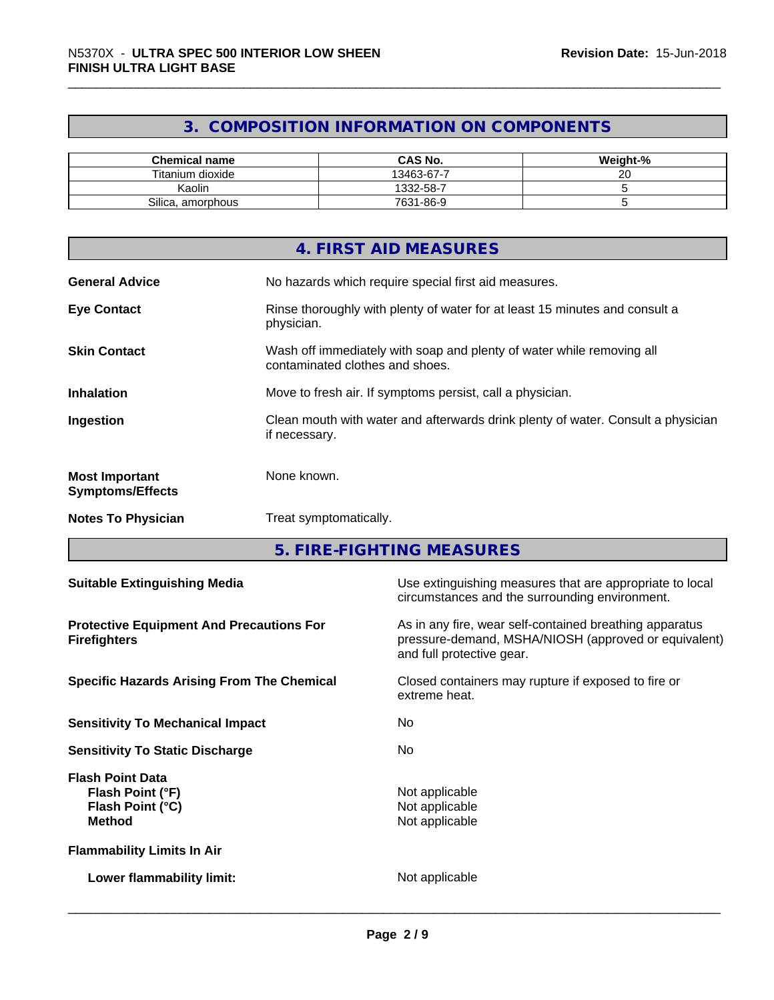## **3. COMPOSITION INFORMATION ON COMPONENTS**

| <b>Chemical name</b> | <b>CAS No.</b> | Weight-%     |
|----------------------|----------------|--------------|
| Titanium dioxide     | 13463-67-7     | $\sim$<br>∠∪ |
| Kaolin               | 1332-58-7      |              |
| Silica, amorphous    | 7631-86-9      |              |

|                                                  | 4. FIRST AID MEASURES                                                                                    |
|--------------------------------------------------|----------------------------------------------------------------------------------------------------------|
| <b>General Advice</b>                            | No hazards which require special first aid measures.                                                     |
| <b>Eye Contact</b>                               | Rinse thoroughly with plenty of water for at least 15 minutes and consult a<br>physician.                |
| <b>Skin Contact</b>                              | Wash off immediately with soap and plenty of water while removing all<br>contaminated clothes and shoes. |
| <b>Inhalation</b>                                | Move to fresh air. If symptoms persist, call a physician.                                                |
| Ingestion                                        | Clean mouth with water and afterwards drink plenty of water. Consult a physician<br>if necessary.        |
| <b>Most Important</b><br><b>Symptoms/Effects</b> | None known.                                                                                              |
| <b>Notes To Physician</b>                        | Treat symptomatically.                                                                                   |

**5. FIRE-FIGHTING MEASURES**

| <b>Suitable Extinguishing Media</b>                                              | Use extinguishing measures that are appropriate to local<br>circumstances and the surrounding environment.                                   |
|----------------------------------------------------------------------------------|----------------------------------------------------------------------------------------------------------------------------------------------|
| <b>Protective Equipment And Precautions For</b><br><b>Firefighters</b>           | As in any fire, wear self-contained breathing apparatus<br>pressure-demand, MSHA/NIOSH (approved or equivalent)<br>and full protective gear. |
| <b>Specific Hazards Arising From The Chemical</b>                                | Closed containers may rupture if exposed to fire or<br>extreme heat.                                                                         |
| <b>Sensitivity To Mechanical Impact</b>                                          | No.                                                                                                                                          |
| <b>Sensitivity To Static Discharge</b>                                           | No.                                                                                                                                          |
| <b>Flash Point Data</b><br>Flash Point (°F)<br>Flash Point (°C)<br><b>Method</b> | Not applicable<br>Not applicable<br>Not applicable                                                                                           |
| <b>Flammability Limits In Air</b>                                                |                                                                                                                                              |
| Lower flammability limit:                                                        | Not applicable                                                                                                                               |
|                                                                                  |                                                                                                                                              |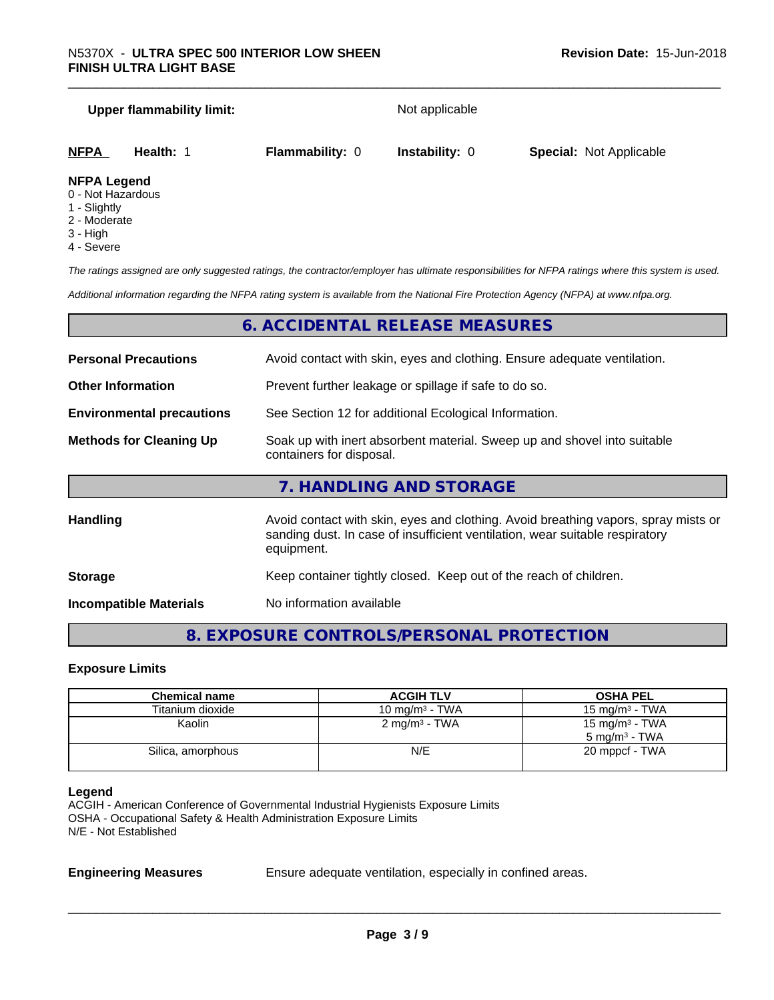## **Upper flammability limit:** Not applicable **NFPA Health:** 1 **Flammability:** 0 **Instability:** 0 **Special:** Not Applicable

- **NFPA Legend**
- 0 Not Hazardous 1 - Slightly
- 2 Moderate
- 3 High
- 4 Severe

*The ratings assigned are only suggested ratings, the contractor/employer has ultimate responsibilities for NFPA ratings where this system is used.*

*Additional information regarding the NFPA rating system is available from the National Fire Protection Agency (NFPA) at www.nfpa.org.*

### **6. ACCIDENTAL RELEASE MEASURES**

| <b>Personal Precautions</b>      | Avoid contact with skin, eyes and clothing. Ensure adequate ventilation.                                                                                                         |  |
|----------------------------------|----------------------------------------------------------------------------------------------------------------------------------------------------------------------------------|--|
| <b>Other Information</b>         | Prevent further leakage or spillage if safe to do so.                                                                                                                            |  |
| <b>Environmental precautions</b> | See Section 12 for additional Ecological Information.                                                                                                                            |  |
| <b>Methods for Cleaning Up</b>   | Soak up with inert absorbent material. Sweep up and shovel into suitable<br>containers for disposal.                                                                             |  |
|                                  | 7. HANDLING AND STORAGE                                                                                                                                                          |  |
| <b>Handling</b>                  | Avoid contact with skin, eyes and clothing. Avoid breathing vapors, spray mists or<br>sanding dust. In case of insufficient ventilation, wear suitable respiratory<br>equipment. |  |
| <b>Storage</b>                   | Keep container tightly closed. Keep out of the reach of children.                                                                                                                |  |

**Incompatible Materials** No information available

### **8. EXPOSURE CONTROLS/PERSONAL PROTECTION**

#### **Exposure Limits**

| <b>Chemical name</b> | <b>ACGIH TLV</b>         | <b>OSHA PEL</b>                                        |
|----------------------|--------------------------|--------------------------------------------------------|
| Titanium dioxide     | 10 mg/m $3$ - TWA        | 15 mg/m $3$ - TWA                                      |
| Kaolin               | $2 \text{ mg/m}^3$ - TWA | 15 mg/m <sup>3</sup> - TWA<br>$5 \text{ mg/m}^3$ - TWA |
| Silica, amorphous    | N/E                      | 20 mppcf - TWA                                         |
|                      |                          |                                                        |

#### **Legend**

ACGIH - American Conference of Governmental Industrial Hygienists Exposure Limits OSHA - Occupational Safety & Health Administration Exposure Limits N/E - Not Established

**Engineering Measures** Ensure adequate ventilation, especially in confined areas.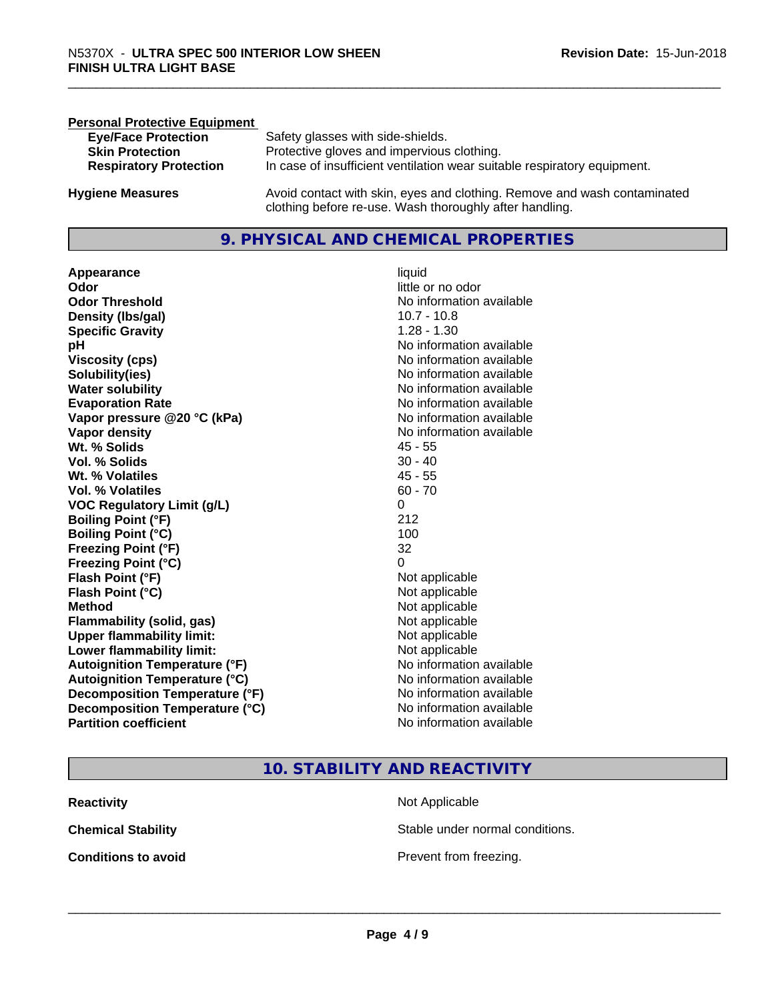| <b>Personal Protective Equipment</b> |                                                                                                                                     |
|--------------------------------------|-------------------------------------------------------------------------------------------------------------------------------------|
| <b>Eye/Face Protection</b>           | Safety glasses with side-shields.                                                                                                   |
| <b>Skin Protection</b>               | Protective gloves and impervious clothing.                                                                                          |
| <b>Respiratory Protection</b>        | In case of insufficient ventilation wear suitable respiratory equipment.                                                            |
| <b>Hygiene Measures</b>              | Avoid contact with skin, eyes and clothing. Remove and wash contaminated<br>clothing before re-use. Wash thoroughly after handling. |

#### **9. PHYSICAL AND CHEMICAL PROPERTIES**

**Appearance** liquid **Odor** little or no odor **Odor Threshold**<br> **Density (Ibs/gal)**<br> **Density (Ibs/gal)**<br> **No information available**<br>
10.7 - 10.8 **Density (Ibs/gal) Specific Gravity** 1.28 - 1.30 **pH pH**  $\blacksquare$ **Viscosity (cps)** No information available<br> **Solubility(ies)** No information available<br>
No information available **Solubility(ies)**<br> **No** information available<br> **Water solubility**<br> **Water solubility Evaporation Rate Evaporation Rate No information available Vapor pressure @20 °C (kPa)** No information available **Vapor density**<br> **Vapor density**<br> **With % Solids**<br>
With % Solids
2018 Wt. % Solids **Vol. % Solids** 30 - 40 **Wt. % Volatiles** 45 - 55 **Vol. % Volatiles** 60 - 70 **VOC Regulatory Limit (g/L)** 0 **Boiling Point (°F)** 212 **Boiling Point (°C)** 100 **Freezing Point (°F)** 32 **Freezing Point (°C)** 0 **Flash Point (°F)**<br> **Flash Point (°C)**<br> **Flash Point (°C)**<br> **C Flash Point (°C) Method** Not applicable not applicable not applicable not applicable not applicable not applicable not applicable not applicable not applicable not applicable not applicable not applicable not applicable not applicable not **Flammability (solid, gas)**<br> **Upper flammability limit:**<br>
Upper flammability limit:<br>  $\begin{array}{ccc}\n\bullet & \bullet & \bullet \\
\bullet & \bullet & \bullet\n\end{array}$ **Upper flammability limit: Lower flammability limit:** Not applicable **Autoignition Temperature (°F)** No information available **Autoignition Temperature (°C)** No information available **Decomposition Temperature (°F)** No information available<br> **Decomposition Temperature (°C)** No information available **Decomposition Temperature (°C)**<br>Partition coefficient

**No information available No information available** 

#### **10. STABILITY AND REACTIVITY**

| Reactivity          | Not Applicable                  |
|---------------------|---------------------------------|
| Chemical Stability  | Stable under normal conditions. |
| Conditions to avoid | Prevent from freezing.          |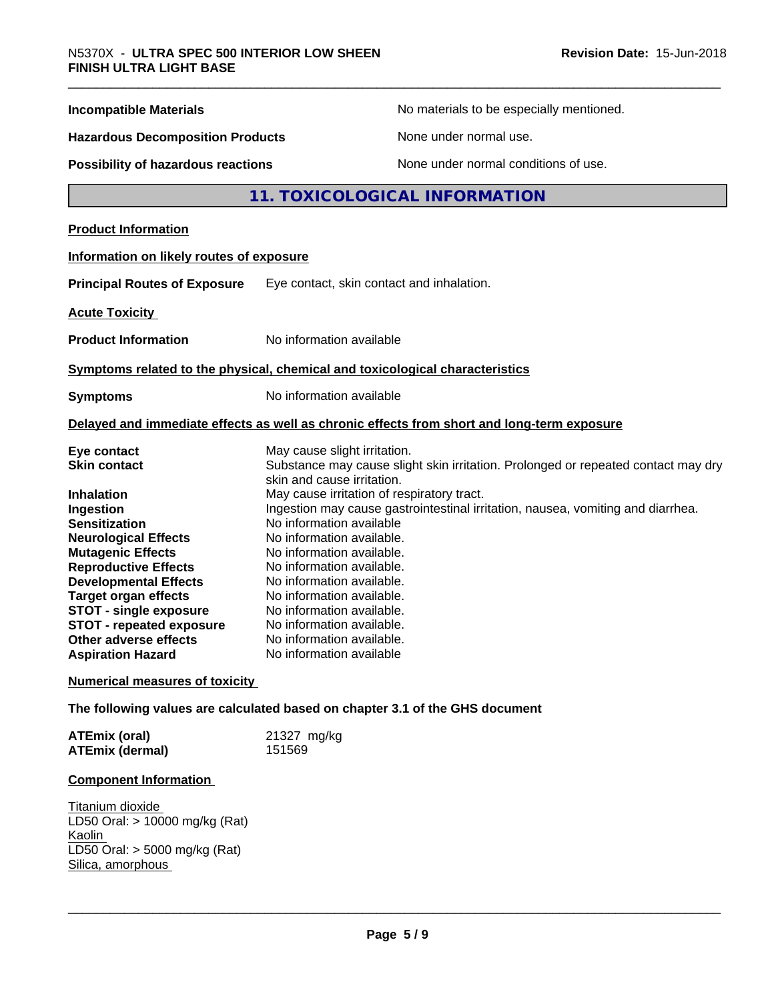| <b>Incompatible Materials</b>                     | No materials to be especially mentioned.                                                   |  |
|---------------------------------------------------|--------------------------------------------------------------------------------------------|--|
| <b>Hazardous Decomposition Products</b>           | None under normal use.                                                                     |  |
| Possibility of hazardous reactions                | None under normal conditions of use.                                                       |  |
|                                                   | 11. TOXICOLOGICAL INFORMATION                                                              |  |
| <b>Product Information</b>                        |                                                                                            |  |
| Information on likely routes of exposure          |                                                                                            |  |
| <b>Principal Routes of Exposure</b>               | Eye contact, skin contact and inhalation.                                                  |  |
| <b>Acute Toxicity</b>                             |                                                                                            |  |
| <b>Product Information</b>                        | No information available                                                                   |  |
|                                                   | Symptoms related to the physical, chemical and toxicological characteristics               |  |
|                                                   | No information available                                                                   |  |
| <b>Symptoms</b>                                   |                                                                                            |  |
|                                                   | Delayed and immediate effects as well as chronic effects from short and long-term exposure |  |
| Eye contact                                       | May cause slight irritation.                                                               |  |
| <b>Skin contact</b>                               | Substance may cause slight skin irritation. Prolonged or repeated contact may dry          |  |
| <b>Inhalation</b>                                 | skin and cause irritation.<br>May cause irritation of respiratory tract.                   |  |
| Ingestion                                         | Ingestion may cause gastrointestinal irritation, nausea, vomiting and diarrhea.            |  |
| <b>Sensitization</b>                              | No information available                                                                   |  |
| <b>Neurological Effects</b>                       | No information available.                                                                  |  |
| <b>Mutagenic Effects</b>                          | No information available.                                                                  |  |
| <b>Reproductive Effects</b>                       | No information available.                                                                  |  |
| <b>Developmental Effects</b>                      | No information available.                                                                  |  |
| <b>Target organ effects</b>                       | No information available.                                                                  |  |
| <b>STOT - single exposure</b>                     | No information available.                                                                  |  |
| <b>STOT - repeated exposure</b>                   | No information available.                                                                  |  |
| Other adverse effects<br><b>Aspiration Hazard</b> | No information available.<br>No information available                                      |  |
| <b>Numerical measures of toxicity</b>             |                                                                                            |  |
|                                                   | The following values are calculated based on chapter 3.1 of the GHS document               |  |
| <b>ATEmix (oral)</b>                              | 21327 mg/kg                                                                                |  |
| <b>ATEmix (dermal)</b>                            | 151569                                                                                     |  |
|                                                   |                                                                                            |  |

### **Component Information**

**Titanium dioxide** LD50 Oral: > 10000 mg/kg (Rat) Kaolin LD50 Oral: > 5000 mg/kg (Rat) Silica, amorphous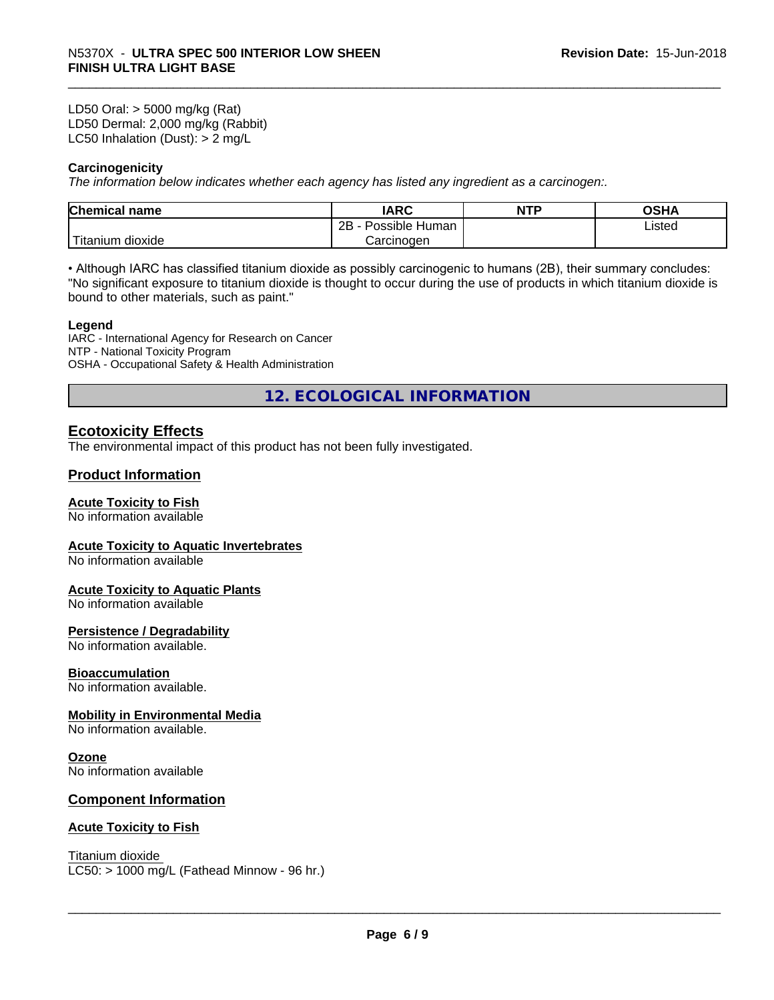LD50 Oral: > 5000 mg/kg (Rat) LD50 Dermal: 2,000 mg/kg (Rabbit) LC50 Inhalation (Dust): > 2 mg/L

#### **Carcinogenicity**

*The information below indicateswhether each agency has listed any ingredient as a carcinogen:.*

| <b>Chemical</b><br>name  | <b>IARC</b>                    | <b>NTP</b> | ດເ⊔∧<br>UJNA |
|--------------------------|--------------------------------|------------|--------------|
|                          | . .<br>2B<br>Human<br>Possible |            | Listed       |
| $-1$<br>Fitanium dioxide | Carcinoɑen                     |            |              |

• Although IARC has classified titanium dioxide as possibly carcinogenic to humans (2B), their summary concludes: "No significant exposure to titanium dioxide is thought to occur during the use of products in which titanium dioxide is bound to other materials, such as paint."

#### **Legend**

IARC - International Agency for Research on Cancer NTP - National Toxicity Program OSHA - Occupational Safety & Health Administration

**12. ECOLOGICAL INFORMATION**

#### **Ecotoxicity Effects**

The environmental impact of this product has not been fully investigated.

#### **Product Information**

#### **Acute Toxicity to Fish**

No information available

#### **Acute Toxicity to Aquatic Invertebrates**

No information available

#### **Acute Toxicity to Aquatic Plants**

No information available

#### **Persistence / Degradability**

No information available.

#### **Bioaccumulation**

No information available.

#### **Mobility in Environmental Media**

No information available.

#### **Ozone**

No information available

#### **Component Information**

#### **Acute Toxicity to Fish**

Titanium dioxide  $LC50:$  > 1000 mg/L (Fathead Minnow - 96 hr.)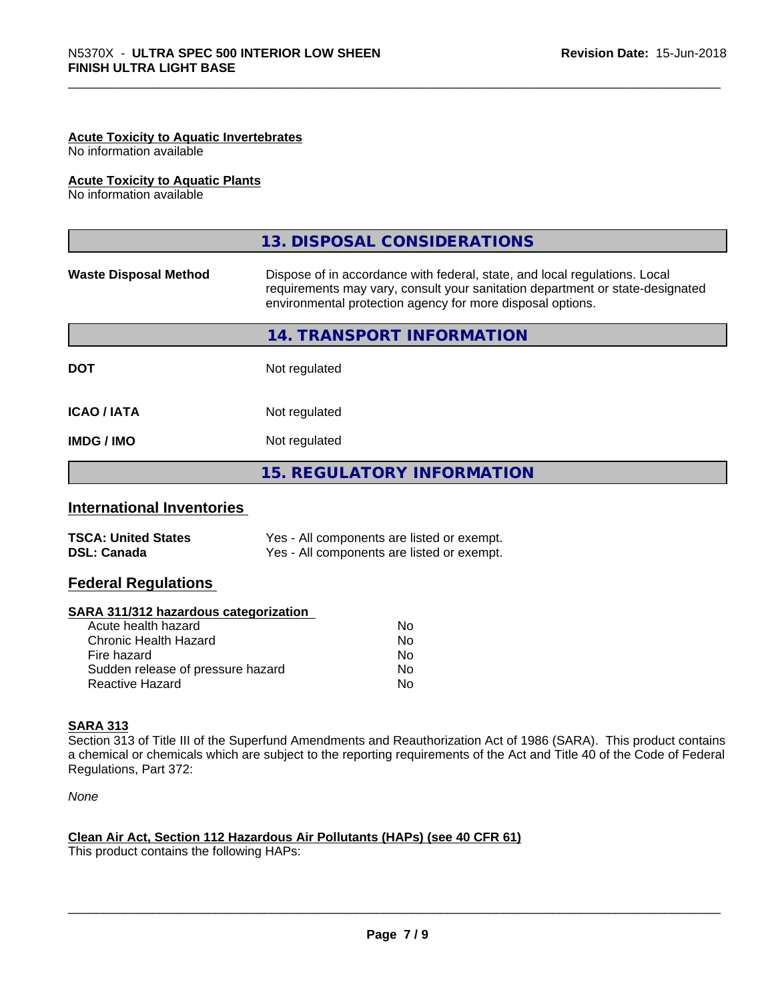#### **Acute Toxicity to Aquatic Invertebrates**

No information available

#### **Acute Toxicity to Aquatic Plants**

No information available

|                              | 13. DISPOSAL CONSIDERATIONS                                                                                                                                                                                               |
|------------------------------|---------------------------------------------------------------------------------------------------------------------------------------------------------------------------------------------------------------------------|
| <b>Waste Disposal Method</b> | Dispose of in accordance with federal, state, and local regulations. Local<br>requirements may vary, consult your sanitation department or state-designated<br>environmental protection agency for more disposal options. |
|                              | 14. TRANSPORT INFORMATION                                                                                                                                                                                                 |
| <b>DOT</b>                   | Not regulated                                                                                                                                                                                                             |
| <b>ICAO/IATA</b>             | Not regulated                                                                                                                                                                                                             |
| <b>IMDG/IMO</b>              | Not regulated                                                                                                                                                                                                             |
|                              | <b>15. REGULATORY INFORMATION</b>                                                                                                                                                                                         |

#### **International Inventories**

| <b>TSCA: United States</b> | Yes - All components are listed or exempt. |
|----------------------------|--------------------------------------------|
| <b>DSL: Canada</b>         | Yes - All components are listed or exempt. |

#### **Federal Regulations**

#### **SARA 311/312 hazardous categorization**

| No |
|----|
| Nο |
| No |
| Nο |
| N٥ |
|    |

#### **SARA 313**

Section 313 of Title III of the Superfund Amendments and Reauthorization Act of 1986 (SARA). This product contains a chemical or chemicals which are subject to the reporting requirements of the Act and Title 40 of the Code of Federal Regulations, Part 372:

*None*

#### **Clean Air Act,Section 112 Hazardous Air Pollutants (HAPs) (see 40 CFR 61)**

This product contains the following HAPs: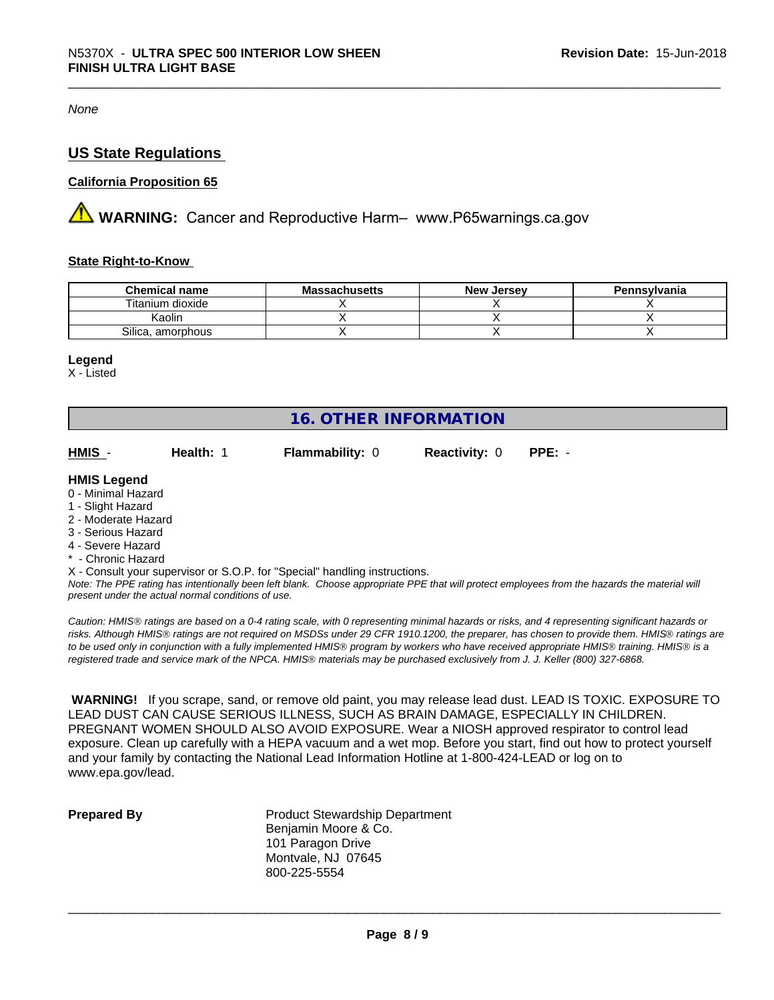*None*

#### **US State Regulations**

#### **California Proposition 65**

**AVIMARNING:** Cancer and Reproductive Harm– www.P65warnings.ca.gov

#### **State Right-to-Know**

| <b>Chemical name</b> | - -<br>Massachusetts | , Jersev<br><b>New</b> | Pennsylvania |
|----------------------|----------------------|------------------------|--------------|
| Fitanium dioxide     |                      |                        |              |
| <b>Kaolin</b>        |                      |                        |              |
| Silica, amorphous    |                      |                        |              |

#### **Legend**

X - Listed

| 16. OTHER INFORMATION                                                                                                                         |           |                        |                      |          |  |  |
|-----------------------------------------------------------------------------------------------------------------------------------------------|-----------|------------------------|----------------------|----------|--|--|
| HMIS -                                                                                                                                        | Health: 1 | <b>Flammability: 0</b> | <b>Reactivity: 0</b> | $PPE: -$ |  |  |
| <b>HMIS Legend</b>                                                                                                                            |           |                        |                      |          |  |  |
| 0 - Minimal Hazard                                                                                                                            |           |                        |                      |          |  |  |
| 1 - Slight Hazard                                                                                                                             |           |                        |                      |          |  |  |
| 2 - Moderate Hazard                                                                                                                           |           |                        |                      |          |  |  |
| 3 - Serious Hazard                                                                                                                            |           |                        |                      |          |  |  |
| 4 - Severe Hazard                                                                                                                             |           |                        |                      |          |  |  |
| * - Chronic Hazard                                                                                                                            |           |                        |                      |          |  |  |
| X - Consult your supervisor or S.O.P. for "Special" handling instructions.                                                                    |           |                        |                      |          |  |  |
| Note: The PPE rating has intentionally been left blank. Choose appropriate PPE that will protect employees from the hazards the material will |           |                        |                      |          |  |  |
| present under the actual normal conditions of use.                                                                                            |           |                        |                      |          |  |  |

*Caution: HMISÒ ratings are based on a 0-4 rating scale, with 0 representing minimal hazards or risks, and 4 representing significant hazards or risks. Although HMISÒ ratings are not required on MSDSs under 29 CFR 1910.1200, the preparer, has chosen to provide them. HMISÒ ratings are to be used only in conjunction with a fully implemented HMISÒ program by workers who have received appropriate HMISÒ training. HMISÒ is a registered trade and service mark of the NPCA. HMISÒ materials may be purchased exclusively from J. J. Keller (800) 327-6868.*

 **WARNING!** If you scrape, sand, or remove old paint, you may release lead dust. LEAD IS TOXIC. EXPOSURE TO LEAD DUST CAN CAUSE SERIOUS ILLNESS, SUCH AS BRAIN DAMAGE, ESPECIALLY IN CHILDREN. PREGNANT WOMEN SHOULD ALSO AVOID EXPOSURE. Wear a NIOSH approved respirator to control lead exposure. Clean up carefully with a HEPA vacuum and a wet mop. Before you start, find out how to protect yourself and your family by contacting the National Lead Information Hotline at 1-800-424-LEAD or log on to www.epa.gov/lead.

**Prepared By** Product Stewardship Department Benjamin Moore & Co. 101 Paragon Drive Montvale, NJ 07645 800-225-5554